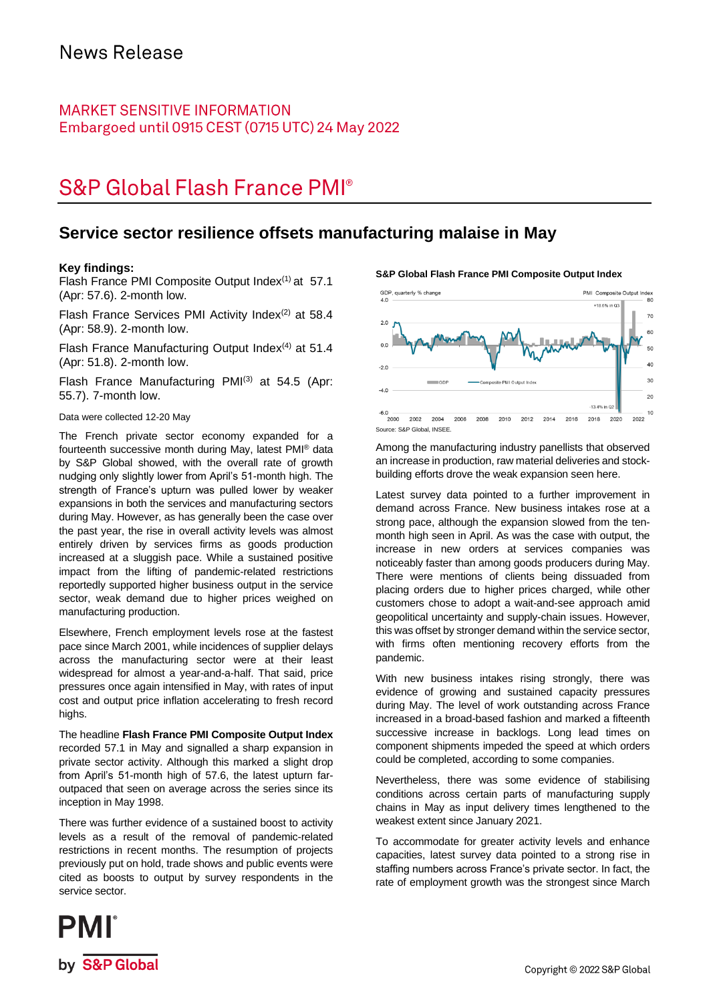### **MARKET SENSITIVE INFORMATION** Embargoed until 0915 CEST (0715 UTC) 24 May 2022

# **S&P Global Flash France PMI®**

### **Service sector resilience offsets manufacturing malaise in May**

### **Key findings:**

Flash France PMI Composite Output Index<sup>(1)</sup> at 57.1 (Apr: 57.6). 2-month low.

Flash France Services PMI Activity Index $(2)$  at 58.4 (Apr: 58.9). 2-month low.

Flash France Manufacturing Output Index $(4)$  at 51.4 (Apr: 51.8). 2-month low.

Flash France Manufacturing PMI<sup>(3)</sup> at 54.5 (Apr: 55.7). 7-month low.

### Data were collected 12-20 May

The French private sector economy expanded for a fourteenth successive month during May, latest PMI® data by S&P Global showed, with the overall rate of growth nudging only slightly lower from April's 51-month high. The strength of France's upturn was pulled lower by weaker expansions in both the services and manufacturing sectors during May. However, as has generally been the case over the past year, the rise in overall activity levels was almost entirely driven by services firms as goods production increased at a sluggish pace. While a sustained positive impact from the lifting of pandemic-related restrictions reportedly supported higher business output in the service sector, weak demand due to higher prices weighed on manufacturing production.

Elsewhere, French employment levels rose at the fastest pace since March 2001, while incidences of supplier delays across the manufacturing sector were at their least widespread for almost a year-and-a-half. That said, price pressures once again intensified in May, with rates of input cost and output price inflation accelerating to fresh record highs.

The headline **Flash France PMI Composite Output Index** recorded 57.1 in May and signalled a sharp expansion in private sector activity. Although this marked a slight drop from April's 51-month high of 57.6, the latest upturn faroutpaced that seen on average across the series since its inception in May 1998.

There was further evidence of a sustained boost to activity levels as a result of the removal of pandemic-related restrictions in recent months. The resumption of projects previously put on hold, trade shows and public events were cited as boosts to output by survey respondents in the service sector.

#### **S&P Global Flash France PMI Composite Output Index**



Among the manufacturing industry panellists that observed an increase in production, raw material deliveries and stockbuilding efforts drove the weak expansion seen here.

Latest survey data pointed to a further improvement in demand across France. New business intakes rose at a strong pace, although the expansion slowed from the tenmonth high seen in April. As was the case with output, the increase in new orders at services companies was noticeably faster than among goods producers during May. There were mentions of clients being dissuaded from placing orders due to higher prices charged, while other customers chose to adopt a wait-and-see approach amid geopolitical uncertainty and supply-chain issues. However, this was offset by stronger demand within the service sector, with firms often mentioning recovery efforts from the pandemic.

With new business intakes rising strongly, there was evidence of growing and sustained capacity pressures during May. The level of work outstanding across France increased in a broad-based fashion and marked a fifteenth successive increase in backlogs. Long lead times on component shipments impeded the speed at which orders could be completed, according to some companies.

Nevertheless, there was some evidence of stabilising conditions across certain parts of manufacturing supply chains in May as input delivery times lengthened to the weakest extent since January 2021.

To accommodate for greater activity levels and enhance capacities, latest survey data pointed to a strong rise in staffing numbers across France's private sector. In fact, the rate of employment growth was the strongest since March

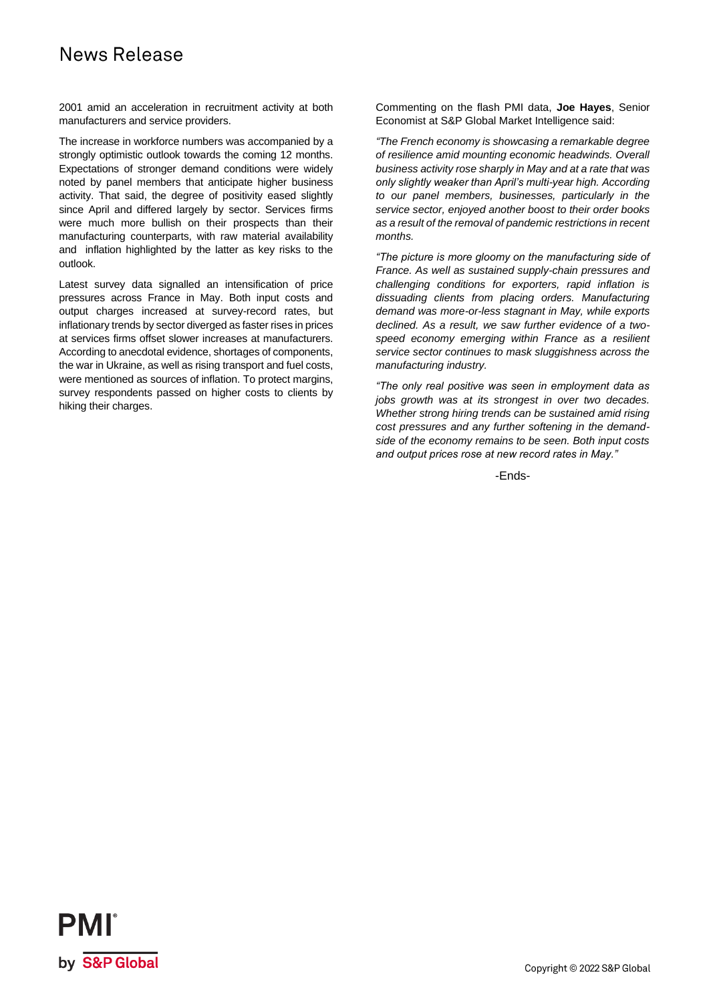# News Release

2001 amid an acceleration in recruitment activity at both manufacturers and service providers.

The increase in workforce numbers was accompanied by a strongly optimistic outlook towards the coming 12 months. Expectations of stronger demand conditions were widely noted by panel members that anticipate higher business activity. That said, the degree of positivity eased slightly since April and differed largely by sector. Services firms were much more bullish on their prospects than their manufacturing counterparts, with raw material availability and inflation highlighted by the latter as key risks to the outlook.

Latest survey data signalled an intensification of price pressures across France in May. Both input costs and output charges increased at survey-record rates, but inflationary trends by sector diverged as faster rises in prices at services firms offset slower increases at manufacturers. According to anecdotal evidence, shortages of components, the war in Ukraine, as well as rising transport and fuel costs, were mentioned as sources of inflation. To protect margins, survey respondents passed on higher costs to clients by hiking their charges.

Commenting on the flash PMI data, **Joe Hayes**, Senior Economist at S&P Global Market Intelligence said:

*"The French economy is showcasing a remarkable degree of resilience amid mounting economic headwinds. Overall business activity rose sharply in May and at a rate that was only slightly weaker than April's multi-year high. According to our panel members, businesses, particularly in the service sector, enjoyed another boost to their order books as a result of the removal of pandemic restrictions in recent months.*

*"The picture is more gloomy on the manufacturing side of France. As well as sustained supply-chain pressures and challenging conditions for exporters, rapid inflation is dissuading clients from placing orders. Manufacturing demand was more-or-less stagnant in May, while exports declined. As a result, we saw further evidence of a twospeed economy emerging within France as a resilient service sector continues to mask sluggishness across the manufacturing industry.* 

*"The only real positive was seen in employment data as jobs growth was at its strongest in over two decades. Whether strong hiring trends can be sustained amid rising cost pressures and any further softening in the demandside of the economy remains to be seen. Both input costs and output prices rose at new record rates in May."*

-Ends-